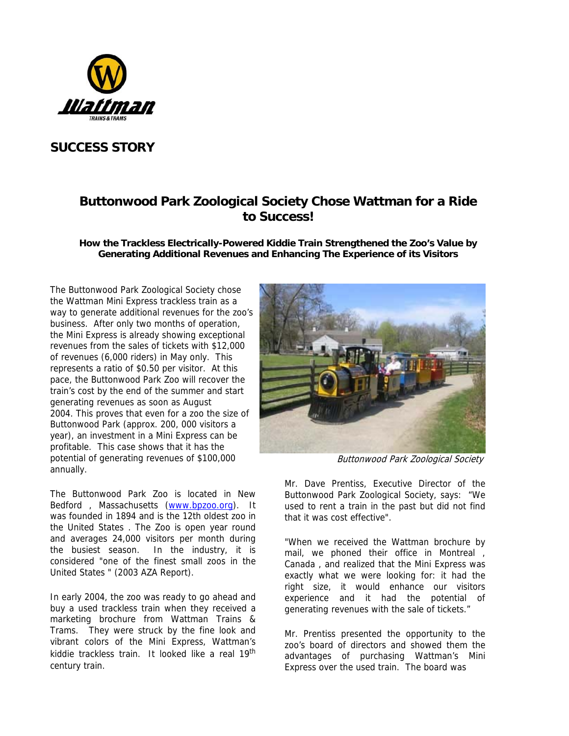

# **SUCCESS STORY**

# **Buttonwood Park Zoological Society Chose Wattman for a Ride to Success!**

**How the Trackless Electrically-Powered Kiddie Train Strengthened the Zoo's Value by Generating Additional Revenues and Enhancing The Experience of its Visitors**

The Buttonwood Park Zoological Society chose the Wattman Mini Express trackless train as a way to generate additional revenues for the zoo's business. After only two months of operation, the Mini Express is already showing exceptional revenues from the sales of tickets with \$12,000 of revenues (6,000 riders) in May only. This represents a ratio of \$0.50 per visitor. At this pace, the Buttonwood Park Zoo will recover the train's cost by the end of the summer and start generating revenues as soon as August 2004. This proves that even for a zoo the size of Buttonwood Park (approx. 200, 000 visitors a year), an investment in a Mini Express can be profitable. This case shows that it has the potential of generating revenues of \$100,000 annually.

The Buttonwood Park Zoo is located in New Bedford , Massachusetts (www.bpzoo.org). It was founded in 1894 and is the 12th oldest zoo in the United States . The Zoo is open year round and averages 24,000 visitors per month during the busiest season. In the industry, it is considered "one of the finest small zoos in the United States " (2003 AZA Report).

In early 2004, the zoo was ready to go ahead and buy a used trackless train when they received a marketing brochure from Wattman Trains & Trams. They were struck by the fine look and vibrant colors of the Mini Express, Wattman's kiddie trackless train. It looked like a real 19<sup>th</sup> century train.



Buttonwood Park Zoological Society

Mr. Dave Prentiss, Executive Director of the Buttonwood Park Zoological Society, says: "We used to rent a train in the past but did not find that it was cost effective".

"When we received the Wattman brochure by mail, we phoned their office in Montreal , Canada , and realized that the Mini Express was exactly what we were looking for: it had the right size, it would enhance our visitors experience and it had the potential of generating revenues with the sale of tickets."

Mr. Prentiss presented the opportunity to the zoo's board of directors and showed them the advantages of purchasing Wattman's Mini Express over the used train. The board was